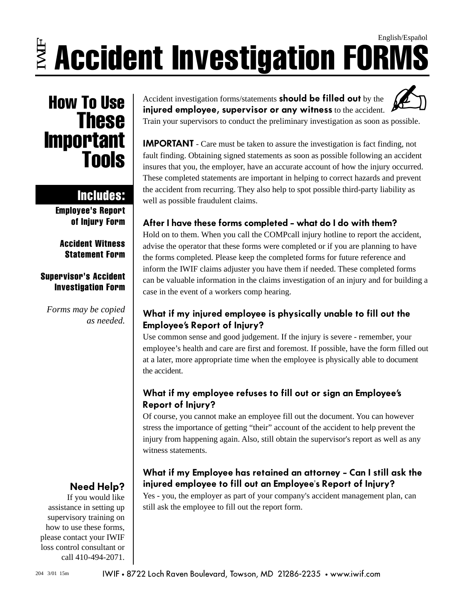### $\ddot{\equiv}$  Accident Investigation FORMS English/Español

## **How To Use<br>These Important** Tools

### Includes:

Employee's Report of Injury Form

Accident Witness Statement Form

#### Supervisor's Accident Investigation Form

*Forms may be copied as needed.*

### **Need Help?**

If you would like assistance in setting up supervisory training on how to use these forms, please contact your IWIF loss control consultant or call 410-494-2071.

Accident investigation forms/statements **should be filled out** by the **injured employee, supervisor or any witness** to the accident. To Use  $\overline{\text{These}}$  Accident investigation forms/statements should be filled out by the injured employee, supervisor or any witness to the accident.

> **IMPORTANT** - Care must be taken to assure the investigation is fact finding, not fault finding. Obtaining signed statements as soon as possible following an accident insures that you, the employer, have an accurate account of how the injury occurred. These completed statements are important in helping to correct hazards and prevent the accident from recurring. They also help to spot possible third-party liability as well as possible fraudulent claims.

#### **After I have these forms completed - what do I do with them?**

Hold on to them. When you call the COMPcall injury hotline to report the accident, advise the operator that these forms were completed or if you are planning to have the forms completed. Please keep the completed forms for future reference and inform the IWIF claims adjuster you have them if needed. These completed forms can be valuable information in the claims investigation of an injury and for building a case in the event of a workers comp hearing.

#### **What if my injured employee is physically unable to fill out the Employee's Report of Injury?**

Use common sense and good judgement. If the injury is severe - remember, your employee's health and care are first and foremost. If possible, have the form filled out at a later, more appropriate time when the employee is physically able to document the accident.

#### **What if my employee refuses to fill out or sign an Employee's Report of Injury?**

Of course, you cannot make an employee fill out the document. You can however stress the importance of getting "their" account of the accident to help prevent the injury from happening again. Also, still obtain the supervisor's report as well as any witness statements.

#### **What if my Employee has retained an attorney - Can I still ask the injured employee to fill out an Employee's Report of Injury?**

Yes - you, the employer as part of your company's accident management plan, can still ask the employee to fill out the report form.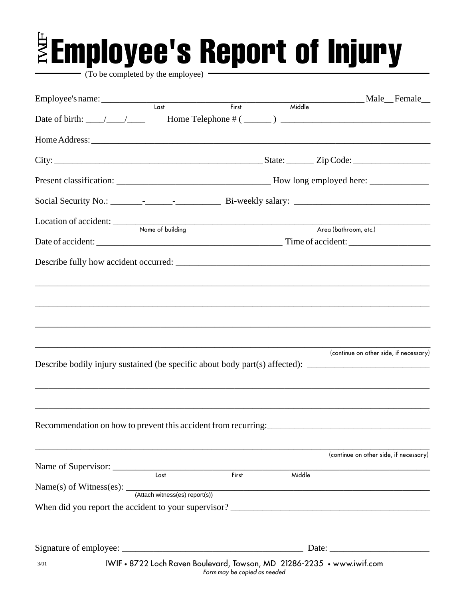# $\bar{\ddot{\mathbf{z}}}$ Employee's Report of Injury

To be completed by the employee)

| Employee's name: Last                                                                                |                                                                        |                              |        | Middle<br>Andrew Middle |  | Male Female                            |  |
|------------------------------------------------------------------------------------------------------|------------------------------------------------------------------------|------------------------------|--------|-------------------------|--|----------------------------------------|--|
|                                                                                                      |                                                                        | First                        |        |                         |  |                                        |  |
| Date of birth: $\frac{\sqrt{1-\frac{1}{2}}}{\sqrt{1-\frac{1}{2}}}$                                   |                                                                        |                              |        |                         |  |                                        |  |
|                                                                                                      |                                                                        |                              |        |                         |  |                                        |  |
|                                                                                                      |                                                                        |                              |        |                         |  |                                        |  |
|                                                                                                      |                                                                        |                              |        |                         |  |                                        |  |
|                                                                                                      |                                                                        |                              |        |                         |  |                                        |  |
| Location of accident: <u>Name</u> of building                                                        |                                                                        |                              |        | Area (bathroom, etc.)   |  |                                        |  |
|                                                                                                      |                                                                        |                              |        |                         |  |                                        |  |
|                                                                                                      |                                                                        |                              |        |                         |  |                                        |  |
|                                                                                                      |                                                                        |                              |        |                         |  |                                        |  |
|                                                                                                      |                                                                        |                              |        |                         |  |                                        |  |
|                                                                                                      |                                                                        |                              |        |                         |  |                                        |  |
|                                                                                                      |                                                                        |                              |        |                         |  |                                        |  |
| Describe bodily injury sustained (be specific about body part(s) affected): ________________________ |                                                                        |                              |        |                         |  | (continue on other side, if necessary) |  |
|                                                                                                      |                                                                        |                              |        |                         |  |                                        |  |
|                                                                                                      |                                                                        |                              |        |                         |  |                                        |  |
| Recommendation on how to prevent this accident from recurring:                                       |                                                                        |                              |        |                         |  |                                        |  |
|                                                                                                      |                                                                        |                              |        |                         |  |                                        |  |
|                                                                                                      |                                                                        |                              |        |                         |  | (continue on other side, if necessary) |  |
| Name of Supervisor: Last First                                                                       |                                                                        |                              | Middle |                         |  |                                        |  |
| Name(s) of Witness(es): (Attach witness(es) report(s))                                               |                                                                        |                              |        |                         |  |                                        |  |
|                                                                                                      |                                                                        |                              |        |                         |  |                                        |  |
|                                                                                                      |                                                                        |                              |        |                         |  |                                        |  |
|                                                                                                      |                                                                        |                              |        |                         |  |                                        |  |
|                                                                                                      |                                                                        |                              |        |                         |  |                                        |  |
| 3/01                                                                                                 | IWIF • 8722 Loch Raven Boulevard, Towson, MD 21286-2235 • www.iwif.com | Form may be copied as needed |        |                         |  |                                        |  |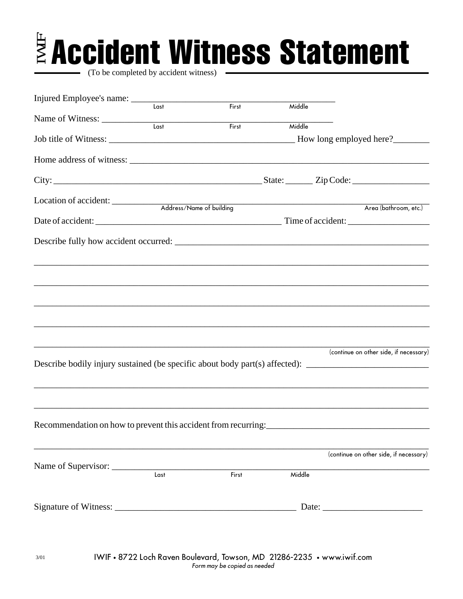# $\bar{\mathbb{B}}$  Accident Witness Statement

(To be completed by accident witness)

| Injured Employee's name: _________                                                                   |      |       |        |                                        |  |
|------------------------------------------------------------------------------------------------------|------|-------|--------|----------------------------------------|--|
|                                                                                                      | Last | First | Middle |                                        |  |
| Name of Witness: Last                                                                                |      | First | Middle |                                        |  |
|                                                                                                      |      |       |        |                                        |  |
|                                                                                                      |      |       |        |                                        |  |
|                                                                                                      |      |       |        |                                        |  |
|                                                                                                      |      |       |        |                                        |  |
|                                                                                                      |      |       |        |                                        |  |
|                                                                                                      |      |       |        |                                        |  |
|                                                                                                      |      |       |        |                                        |  |
|                                                                                                      |      |       |        |                                        |  |
|                                                                                                      |      |       |        |                                        |  |
|                                                                                                      |      |       |        |                                        |  |
|                                                                                                      |      |       |        |                                        |  |
|                                                                                                      |      |       |        |                                        |  |
|                                                                                                      |      |       |        |                                        |  |
|                                                                                                      |      |       |        |                                        |  |
|                                                                                                      |      |       |        |                                        |  |
|                                                                                                      |      |       |        |                                        |  |
|                                                                                                      |      |       |        |                                        |  |
|                                                                                                      |      |       |        | (continue on other side, if necessary) |  |
| Describe bodily injury sustained (be specific about body part(s) affected): ________________________ |      |       |        |                                        |  |
|                                                                                                      |      |       |        |                                        |  |
|                                                                                                      |      |       |        |                                        |  |
|                                                                                                      |      |       |        |                                        |  |
|                                                                                                      |      |       |        |                                        |  |
| Recommendation on how to prevent this accident from recurring:                                       |      |       |        |                                        |  |
|                                                                                                      |      |       |        |                                        |  |
|                                                                                                      |      |       |        | (continue on other side, if necessary) |  |
| Name of Supervisor:                                                                                  |      |       |        |                                        |  |
|                                                                                                      | Last | First | Middle |                                        |  |
|                                                                                                      |      |       |        |                                        |  |
|                                                                                                      |      |       |        |                                        |  |
|                                                                                                      |      |       |        |                                        |  |
|                                                                                                      |      |       |        |                                        |  |
|                                                                                                      |      |       |        |                                        |  |

3/01 IWIF • 8722 Loch Raven Boulevard, Towson, MD 21286-2235 • www.iwif.com Form may be copied as needed